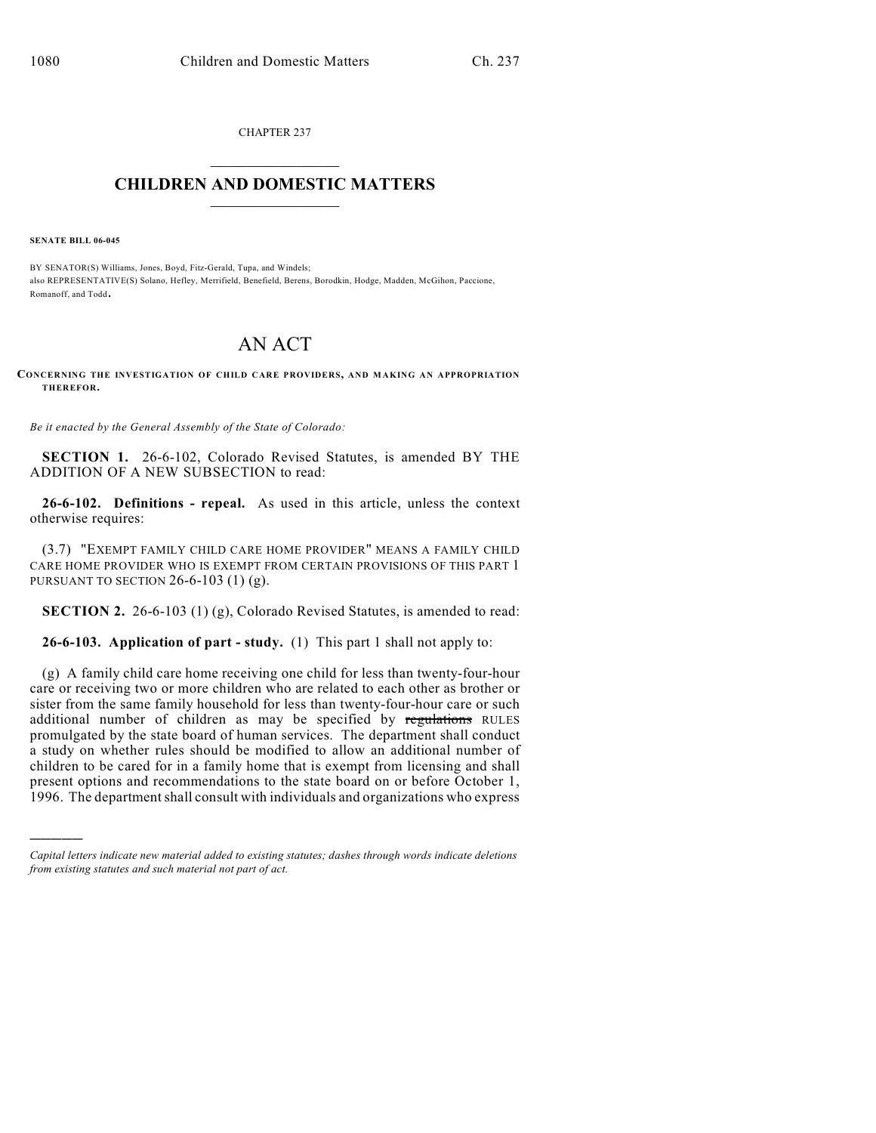CHAPTER 237  $\mathcal{L}_\text{max}$  . The set of the set of the set of the set of the set of the set of the set of the set of the set of the set of the set of the set of the set of the set of the set of the set of the set of the set of the set

## **CHILDREN AND DOMESTIC MATTERS**  $\_$

**SENATE BILL 06-045**

)))))

BY SENATOR(S) Williams, Jones, Boyd, Fitz-Gerald, Tupa, and Windels; also REPRESENTATIVE(S) Solano, Hefley, Merrifield, Benefield, Berens, Borodkin, Hodge, Madden, McGihon, Paccione, Romanoff, and Todd.

## AN ACT

**CONCERNING THE INVESTIGATION OF CHILD CARE PROVIDERS, AND MAKING AN APPROPRIATION THEREFOR.**

*Be it enacted by the General Assembly of the State of Colorado:*

**SECTION 1.** 26-6-102, Colorado Revised Statutes, is amended BY THE ADDITION OF A NEW SUBSECTION to read:

**26-6-102. Definitions - repeal.** As used in this article, unless the context otherwise requires:

(3.7) "EXEMPT FAMILY CHILD CARE HOME PROVIDER" MEANS A FAMILY CHILD CARE HOME PROVIDER WHO IS EXEMPT FROM CERTAIN PROVISIONS OF THIS PART 1 PURSUANT TO SECTION 26-6-103 (1) (g).

**SECTION 2.** 26-6-103 (1) (g), Colorado Revised Statutes, is amended to read:

**26-6-103. Application of part - study.** (1) This part 1 shall not apply to:

(g) A family child care home receiving one child for less than twenty-four-hour care or receiving two or more children who are related to each other as brother or sister from the same family household for less than twenty-four-hour care or such additional number of children as may be specified by regulations RULES promulgated by the state board of human services. The department shall conduct a study on whether rules should be modified to allow an additional number of children to be cared for in a family home that is exempt from licensing and shall present options and recommendations to the state board on or before October 1, 1996. The department shall consult with individuals and organizations who express

*Capital letters indicate new material added to existing statutes; dashes through words indicate deletions from existing statutes and such material not part of act.*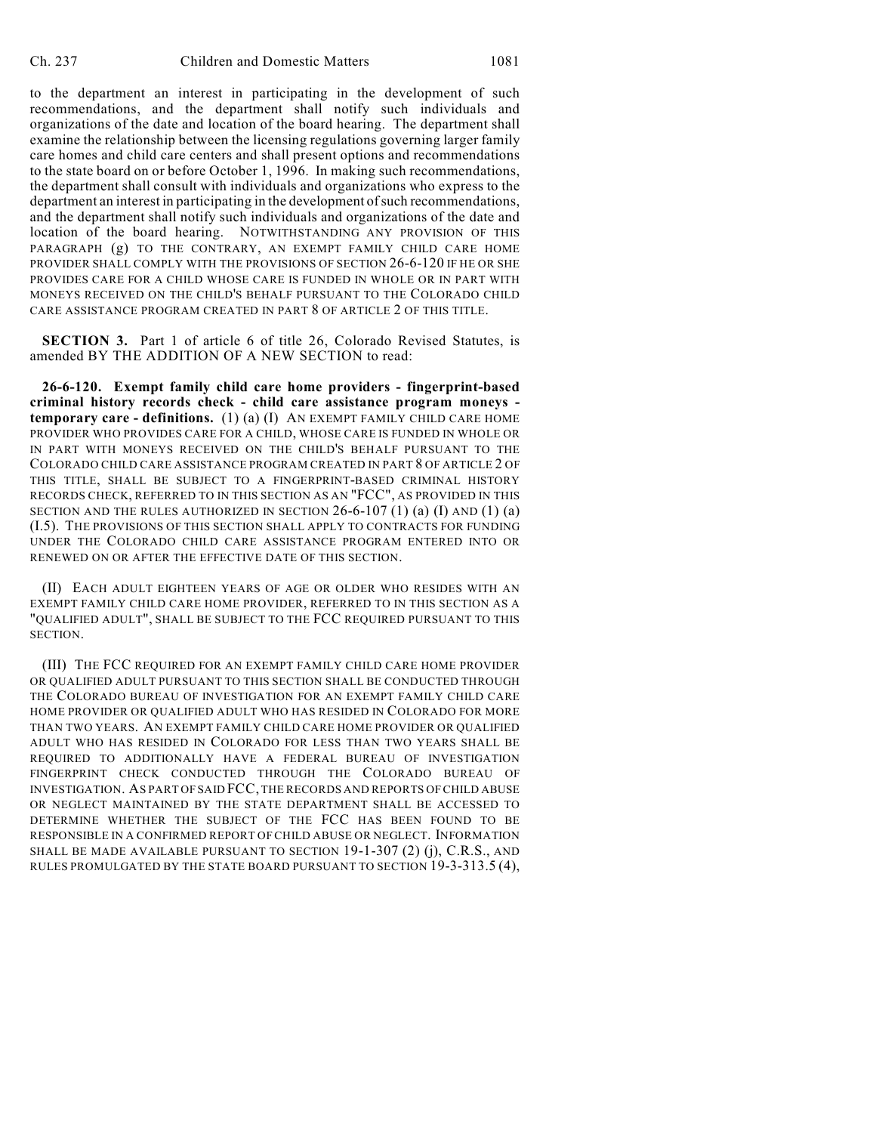to the department an interest in participating in the development of such recommendations, and the department shall notify such individuals and organizations of the date and location of the board hearing. The department shall examine the relationship between the licensing regulations governing larger family care homes and child care centers and shall present options and recommendations to the state board on or before October 1, 1996. In making such recommendations, the department shall consult with individuals and organizations who express to the department an interest in participating in the development of such recommendations, and the department shall notify such individuals and organizations of the date and location of the board hearing. NOTWITHSTANDING ANY PROVISION OF THIS PARAGRAPH (g) TO THE CONTRARY, AN EXEMPT FAMILY CHILD CARE HOME PROVIDER SHALL COMPLY WITH THE PROVISIONS OF SECTION 26-6-120 IF HE OR SHE PROVIDES CARE FOR A CHILD WHOSE CARE IS FUNDED IN WHOLE OR IN PART WITH MONEYS RECEIVED ON THE CHILD'S BEHALF PURSUANT TO THE COLORADO CHILD CARE ASSISTANCE PROGRAM CREATED IN PART 8 OF ARTICLE 2 OF THIS TITLE.

**SECTION 3.** Part 1 of article 6 of title 26, Colorado Revised Statutes, is amended BY THE ADDITION OF A NEW SECTION to read:

**26-6-120. Exempt family child care home providers - fingerprint-based criminal history records check - child care assistance program moneys temporary care - definitions.** (1) (a) (I) AN EXEMPT FAMILY CHILD CARE HOME PROVIDER WHO PROVIDES CARE FOR A CHILD, WHOSE CARE IS FUNDED IN WHOLE OR IN PART WITH MONEYS RECEIVED ON THE CHILD'S BEHALF PURSUANT TO THE COLORADO CHILD CARE ASSISTANCE PROGRAM CREATED IN PART 8 OF ARTICLE 2 OF THIS TITLE, SHALL BE SUBJECT TO A FINGERPRINT-BASED CRIMINAL HISTORY RECORDS CHECK, REFERRED TO IN THIS SECTION AS AN "FCC", AS PROVIDED IN THIS SECTION AND THE RULES AUTHORIZED IN SECTION  $26-6-107(1)$  (a) (I) AND (1) (a) (I.5). THE PROVISIONS OF THIS SECTION SHALL APPLY TO CONTRACTS FOR FUNDING UNDER THE COLORADO CHILD CARE ASSISTANCE PROGRAM ENTERED INTO OR RENEWED ON OR AFTER THE EFFECTIVE DATE OF THIS SECTION.

(II) EACH ADULT EIGHTEEN YEARS OF AGE OR OLDER WHO RESIDES WITH AN EXEMPT FAMILY CHILD CARE HOME PROVIDER, REFERRED TO IN THIS SECTION AS A "QUALIFIED ADULT", SHALL BE SUBJECT TO THE FCC REQUIRED PURSUANT TO THIS SECTION.

(III) THE FCC REQUIRED FOR AN EXEMPT FAMILY CHILD CARE HOME PROVIDER OR QUALIFIED ADULT PURSUANT TO THIS SECTION SHALL BE CONDUCTED THROUGH THE COLORADO BUREAU OF INVESTIGATION FOR AN EXEMPT FAMILY CHILD CARE HOME PROVIDER OR QUALIFIED ADULT WHO HAS RESIDED IN COLORADO FOR MORE THAN TWO YEARS. AN EXEMPT FAMILY CHILD CARE HOME PROVIDER OR QUALIFIED ADULT WHO HAS RESIDED IN COLORADO FOR LESS THAN TWO YEARS SHALL BE REQUIRED TO ADDITIONALLY HAVE A FEDERAL BUREAU OF INVESTIGATION FINGERPRINT CHECK CONDUCTED THROUGH THE COLORADO BUREAU OF INVESTIGATION. AS PART OF SAID FCC, THE RECORDS AND REPORTS OF CHILD ABUSE OR NEGLECT MAINTAINED BY THE STATE DEPARTMENT SHALL BE ACCESSED TO DETERMINE WHETHER THE SUBJECT OF THE FCC HAS BEEN FOUND TO BE RESPONSIBLE IN A CONFIRMED REPORT OF CHILD ABUSE OR NEGLECT. INFORMATION SHALL BE MADE AVAILABLE PURSUANT TO SECTION 19-1-307 (2) (j), C.R.S., AND RULES PROMULGATED BY THE STATE BOARD PURSUANT TO SECTION 19-3-313.5 (4),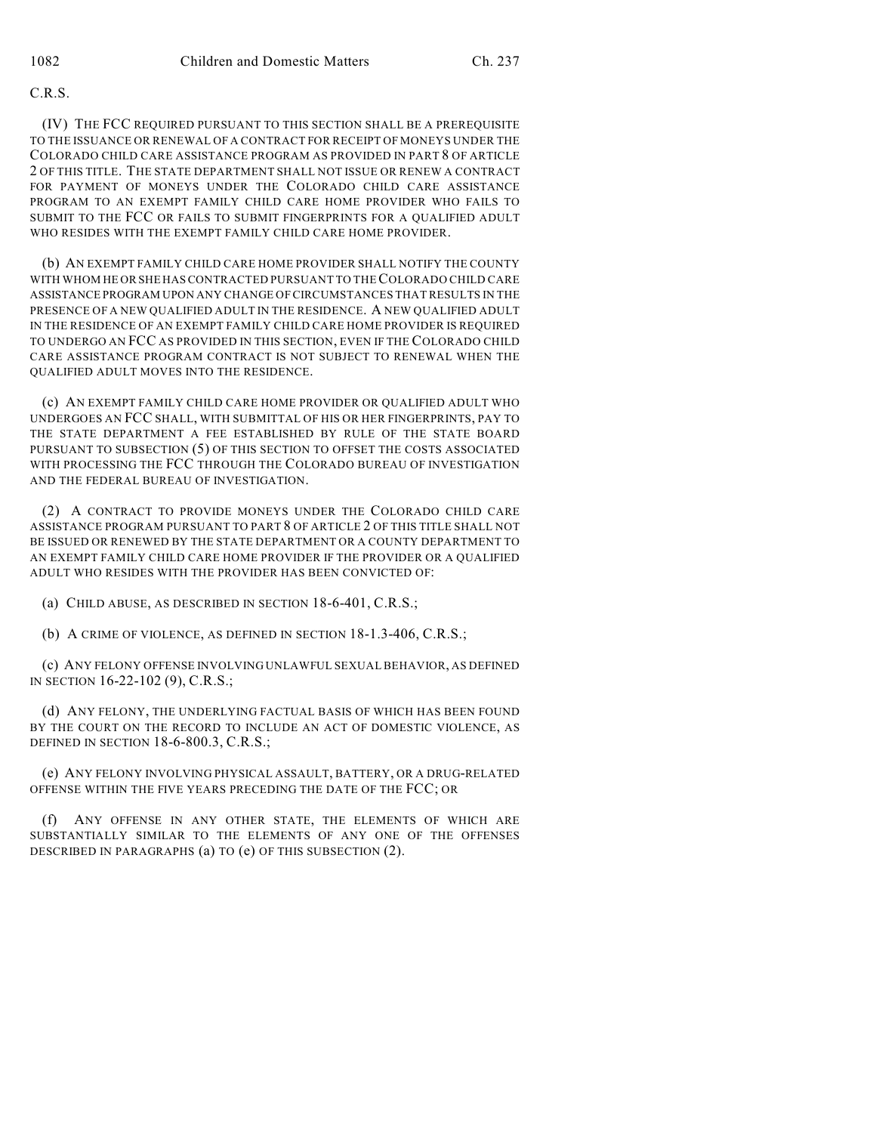## C.R.S.

(IV) THE FCC REQUIRED PURSUANT TO THIS SECTION SHALL BE A PREREQUISITE TO THE ISSUANCE OR RENEWAL OF A CONTRACT FOR RECEIPT OF MONEYS UNDER THE COLORADO CHILD CARE ASSISTANCE PROGRAM AS PROVIDED IN PART 8 OF ARTICLE 2 OF THIS TITLE. THE STATE DEPARTMENT SHALL NOT ISSUE OR RENEW A CONTRACT FOR PAYMENT OF MONEYS UNDER THE COLORADO CHILD CARE ASSISTANCE PROGRAM TO AN EXEMPT FAMILY CHILD CARE HOME PROVIDER WHO FAILS TO SUBMIT TO THE FCC OR FAILS TO SUBMIT FINGERPRINTS FOR A QUALIFIED ADULT WHO RESIDES WITH THE EXEMPT FAMILY CHILD CARE HOME PROVIDER.

(b) AN EXEMPT FAMILY CHILD CARE HOME PROVIDER SHALL NOTIFY THE COUNTY WITH WHOM HE OR SHE HAS CONTRACTED PURSUANT TO THE COLORADO CHILD CARE ASSISTANCE PROGRAM UPON ANY CHANGE OF CIRCUMSTANCES THAT RESULTS IN THE PRESENCE OF A NEW QUALIFIED ADULT IN THE RESIDENCE. A NEW QUALIFIED ADULT IN THE RESIDENCE OF AN EXEMPT FAMILY CHILD CARE HOME PROVIDER IS REQUIRED TO UNDERGO AN FCC AS PROVIDED IN THIS SECTION, EVEN IF THE COLORADO CHILD CARE ASSISTANCE PROGRAM CONTRACT IS NOT SUBJECT TO RENEWAL WHEN THE QUALIFIED ADULT MOVES INTO THE RESIDENCE.

(c) AN EXEMPT FAMILY CHILD CARE HOME PROVIDER OR QUALIFIED ADULT WHO UNDERGOES AN FCC SHALL, WITH SUBMITTAL OF HIS OR HER FINGERPRINTS, PAY TO THE STATE DEPARTMENT A FEE ESTABLISHED BY RULE OF THE STATE BOARD PURSUANT TO SUBSECTION (5) OF THIS SECTION TO OFFSET THE COSTS ASSOCIATED WITH PROCESSING THE FCC THROUGH THE COLORADO BUREAU OF INVESTIGATION AND THE FEDERAL BUREAU OF INVESTIGATION.

(2) A CONTRACT TO PROVIDE MONEYS UNDER THE COLORADO CHILD CARE ASSISTANCE PROGRAM PURSUANT TO PART 8 OF ARTICLE 2 OF THIS TITLE SHALL NOT BE ISSUED OR RENEWED BY THE STATE DEPARTMENT OR A COUNTY DEPARTMENT TO AN EXEMPT FAMILY CHILD CARE HOME PROVIDER IF THE PROVIDER OR A QUALIFIED ADULT WHO RESIDES WITH THE PROVIDER HAS BEEN CONVICTED OF:

(a) CHILD ABUSE, AS DESCRIBED IN SECTION 18-6-401, C.R.S.;

(b) A CRIME OF VIOLENCE, AS DEFINED IN SECTION 18-1.3-406, C.R.S.;

(c) ANY FELONY OFFENSE INVOLVING UNLAWFUL SEXUAL BEHAVIOR, AS DEFINED IN SECTION 16-22-102 (9), C.R.S.;

(d) ANY FELONY, THE UNDERLYING FACTUAL BASIS OF WHICH HAS BEEN FOUND BY THE COURT ON THE RECORD TO INCLUDE AN ACT OF DOMESTIC VIOLENCE, AS DEFINED IN SECTION 18-6-800.3, C.R.S.;

(e) ANY FELONY INVOLVING PHYSICAL ASSAULT, BATTERY, OR A DRUG-RELATED OFFENSE WITHIN THE FIVE YEARS PRECEDING THE DATE OF THE FCC; OR

(f) ANY OFFENSE IN ANY OTHER STATE, THE ELEMENTS OF WHICH ARE SUBSTANTIALLY SIMILAR TO THE ELEMENTS OF ANY ONE OF THE OFFENSES DESCRIBED IN PARAGRAPHS (a) TO (e) OF THIS SUBSECTION (2).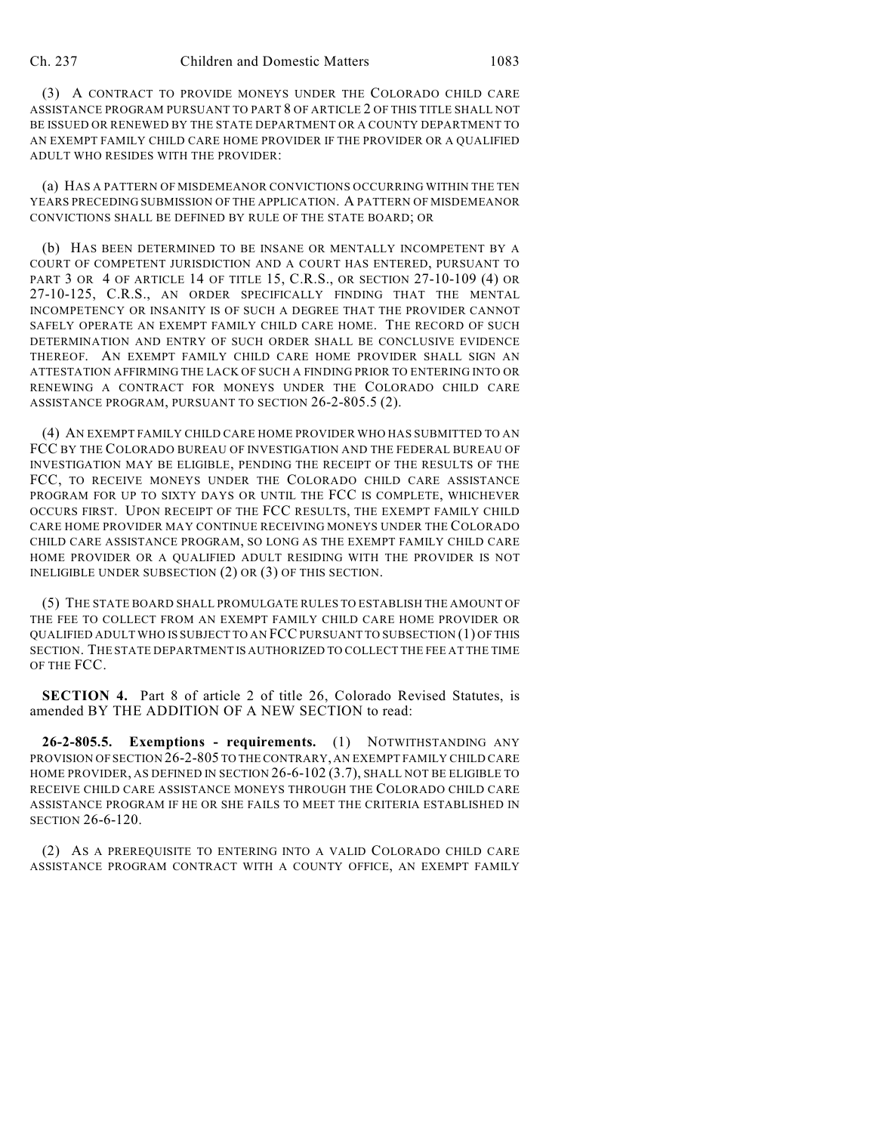(3) A CONTRACT TO PROVIDE MONEYS UNDER THE COLORADO CHILD CARE ASSISTANCE PROGRAM PURSUANT TO PART 8 OF ARTICLE 2 OF THIS TITLE SHALL NOT BE ISSUED OR RENEWED BY THE STATE DEPARTMENT OR A COUNTY DEPARTMENT TO AN EXEMPT FAMILY CHILD CARE HOME PROVIDER IF THE PROVIDER OR A QUALIFIED ADULT WHO RESIDES WITH THE PROVIDER:

(a) HAS A PATTERN OF MISDEMEANOR CONVICTIONS OCCURRING WITHIN THE TEN YEARS PRECEDING SUBMISSION OF THE APPLICATION. A PATTERN OF MISDEMEANOR CONVICTIONS SHALL BE DEFINED BY RULE OF THE STATE BOARD; OR

(b) HAS BEEN DETERMINED TO BE INSANE OR MENTALLY INCOMPETENT BY A COURT OF COMPETENT JURISDICTION AND A COURT HAS ENTERED, PURSUANT TO PART 3 OR 4 OF ARTICLE 14 OF TITLE 15, C.R.S., OR SECTION 27-10-109 (4) OR 27-10-125, C.R.S., AN ORDER SPECIFICALLY FINDING THAT THE MENTAL INCOMPETENCY OR INSANITY IS OF SUCH A DEGREE THAT THE PROVIDER CANNOT SAFELY OPERATE AN EXEMPT FAMILY CHILD CARE HOME. THE RECORD OF SUCH DETERMINATION AND ENTRY OF SUCH ORDER SHALL BE CONCLUSIVE EVIDENCE THEREOF. AN EXEMPT FAMILY CHILD CARE HOME PROVIDER SHALL SIGN AN ATTESTATION AFFIRMING THE LACK OF SUCH A FINDING PRIOR TO ENTERING INTO OR RENEWING A CONTRACT FOR MONEYS UNDER THE COLORADO CHILD CARE ASSISTANCE PROGRAM, PURSUANT TO SECTION 26-2-805.5 (2).

(4) AN EXEMPT FAMILY CHILD CARE HOME PROVIDER WHO HAS SUBMITTED TO AN FCC BY THE COLORADO BUREAU OF INVESTIGATION AND THE FEDERAL BUREAU OF INVESTIGATION MAY BE ELIGIBLE, PENDING THE RECEIPT OF THE RESULTS OF THE FCC, TO RECEIVE MONEYS UNDER THE COLORADO CHILD CARE ASSISTANCE PROGRAM FOR UP TO SIXTY DAYS OR UNTIL THE FCC IS COMPLETE, WHICHEVER OCCURS FIRST. UPON RECEIPT OF THE FCC RESULTS, THE EXEMPT FAMILY CHILD CARE HOME PROVIDER MAY CONTINUE RECEIVING MONEYS UNDER THE COLORADO CHILD CARE ASSISTANCE PROGRAM, SO LONG AS THE EXEMPT FAMILY CHILD CARE HOME PROVIDER OR A QUALIFIED ADULT RESIDING WITH THE PROVIDER IS NOT INELIGIBLE UNDER SUBSECTION (2) OR (3) OF THIS SECTION.

(5) THE STATE BOARD SHALL PROMULGATE RULES TO ESTABLISH THE AMOUNT OF THE FEE TO COLLECT FROM AN EXEMPT FAMILY CHILD CARE HOME PROVIDER OR QUALIFIED ADULT WHO IS SUBJECT TO AN FCC PURSUANT TO SUBSECTION (1) OF THIS SECTION. THE STATE DEPARTMENT IS AUTHORIZED TO COLLECT THE FEE AT THE TIME OF THE FCC.

**SECTION 4.** Part 8 of article 2 of title 26, Colorado Revised Statutes, is amended BY THE ADDITION OF A NEW SECTION to read:

**26-2-805.5. Exemptions - requirements.** (1) NOTWITHSTANDING ANY PROVISION OF SECTION 26-2-805 TO THE CONTRARY, AN EXEMPT FAMILY CHILD CARE HOME PROVIDER, AS DEFINED IN SECTION 26-6-102 (3.7), SHALL NOT BE ELIGIBLE TO RECEIVE CHILD CARE ASSISTANCE MONEYS THROUGH THE COLORADO CHILD CARE ASSISTANCE PROGRAM IF HE OR SHE FAILS TO MEET THE CRITERIA ESTABLISHED IN SECTION 26-6-120.

(2) AS A PREREQUISITE TO ENTERING INTO A VALID COLORADO CHILD CARE ASSISTANCE PROGRAM CONTRACT WITH A COUNTY OFFICE, AN EXEMPT FAMILY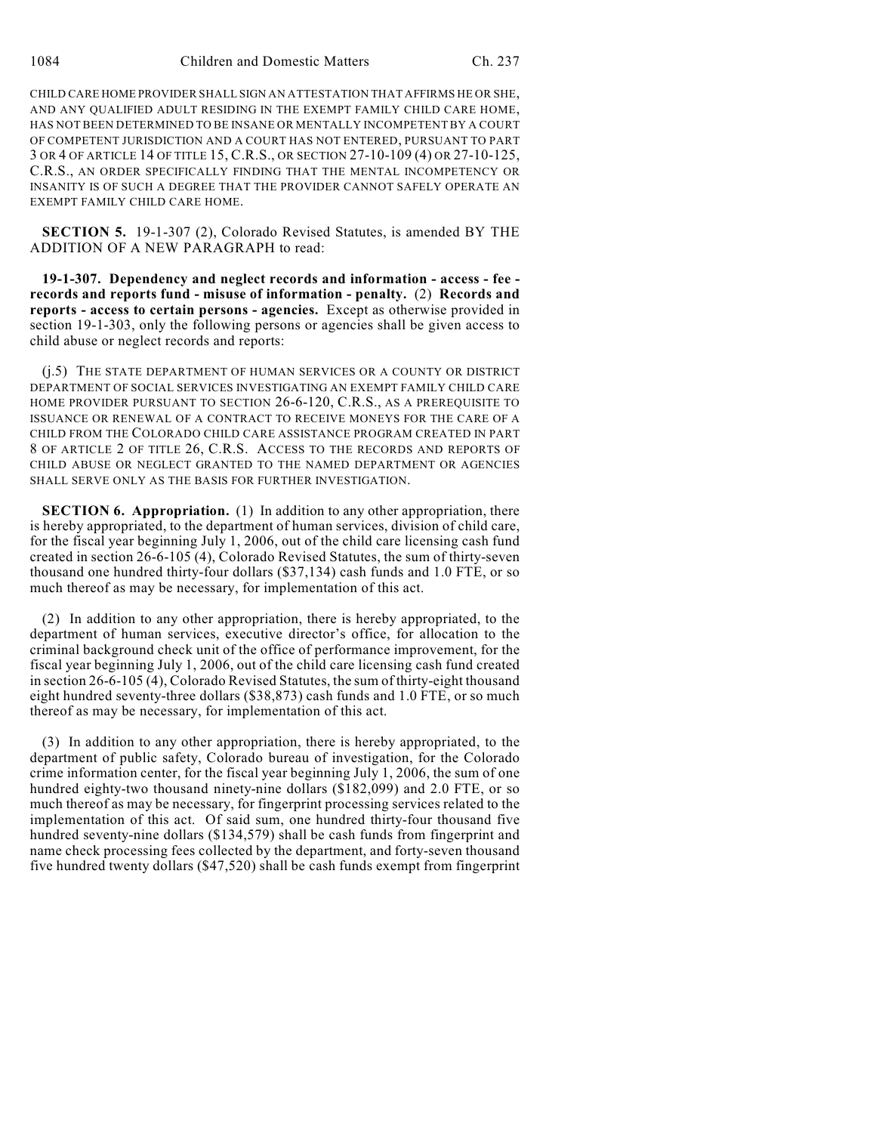CHILD CARE HOME PROVIDER SHALL SIGN AN ATTESTATION THAT AFFIRMS HE OR SHE, AND ANY QUALIFIED ADULT RESIDING IN THE EXEMPT FAMILY CHILD CARE HOME, HAS NOT BEEN DETERMINED TO BE INSANE OR MENTALLY INCOMPETENT BY A COURT OF COMPETENT JURISDICTION AND A COURT HAS NOT ENTERED, PURSUANT TO PART 3 OR 4 OF ARTICLE 14 OF TITLE 15, C.R.S., OR SECTION 27-10-109 (4) OR 27-10-125, C.R.S., AN ORDER SPECIFICALLY FINDING THAT THE MENTAL INCOMPETENCY OR INSANITY IS OF SUCH A DEGREE THAT THE PROVIDER CANNOT SAFELY OPERATE AN EXEMPT FAMILY CHILD CARE HOME.

**SECTION 5.** 19-1-307 (2), Colorado Revised Statutes, is amended BY THE ADDITION OF A NEW PARAGRAPH to read:

**19-1-307. Dependency and neglect records and information - access - fee records and reports fund - misuse of information - penalty.** (2) **Records and reports - access to certain persons - agencies.** Except as otherwise provided in section 19-1-303, only the following persons or agencies shall be given access to child abuse or neglect records and reports:

(j.5) THE STATE DEPARTMENT OF HUMAN SERVICES OR A COUNTY OR DISTRICT DEPARTMENT OF SOCIAL SERVICES INVESTIGATING AN EXEMPT FAMILY CHILD CARE HOME PROVIDER PURSUANT TO SECTION 26-6-120, C.R.S., AS A PREREQUISITE TO ISSUANCE OR RENEWAL OF A CONTRACT TO RECEIVE MONEYS FOR THE CARE OF A CHILD FROM THE COLORADO CHILD CARE ASSISTANCE PROGRAM CREATED IN PART 8 OF ARTICLE 2 OF TITLE 26, C.R.S. ACCESS TO THE RECORDS AND REPORTS OF CHILD ABUSE OR NEGLECT GRANTED TO THE NAMED DEPARTMENT OR AGENCIES SHALL SERVE ONLY AS THE BASIS FOR FURTHER INVESTIGATION.

**SECTION 6. Appropriation.** (1) In addition to any other appropriation, there is hereby appropriated, to the department of human services, division of child care, for the fiscal year beginning July 1, 2006, out of the child care licensing cash fund created in section 26-6-105 (4), Colorado Revised Statutes, the sum of thirty-seven thousand one hundred thirty-four dollars (\$37,134) cash funds and 1.0 FTE, or so much thereof as may be necessary, for implementation of this act.

(2) In addition to any other appropriation, there is hereby appropriated, to the department of human services, executive director's office, for allocation to the criminal background check unit of the office of performance improvement, for the fiscal year beginning July 1, 2006, out of the child care licensing cash fund created in section 26-6-105 (4), Colorado Revised Statutes, the sum of thirty-eight thousand eight hundred seventy-three dollars (\$38,873) cash funds and 1.0 FTE, or so much thereof as may be necessary, for implementation of this act.

(3) In addition to any other appropriation, there is hereby appropriated, to the department of public safety, Colorado bureau of investigation, for the Colorado crime information center, for the fiscal year beginning July 1, 2006, the sum of one hundred eighty-two thousand ninety-nine dollars (\$182,099) and 2.0 FTE, or so much thereof as may be necessary, for fingerprint processing services related to the implementation of this act. Of said sum, one hundred thirty-four thousand five hundred seventy-nine dollars (\$134,579) shall be cash funds from fingerprint and name check processing fees collected by the department, and forty-seven thousand five hundred twenty dollars (\$47,520) shall be cash funds exempt from fingerprint